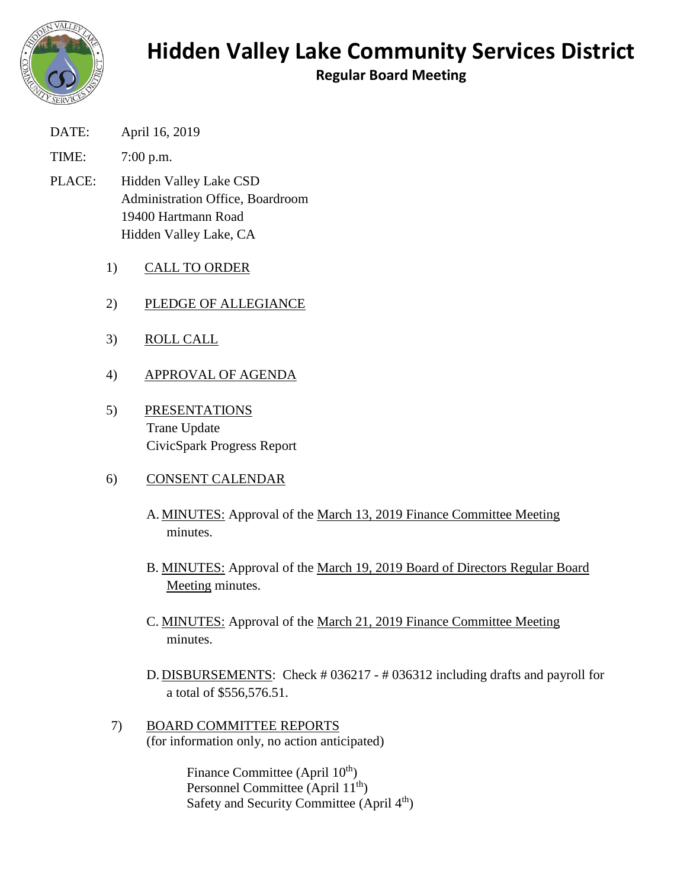

## **Hidden Valley Lake Community Services District**

**Regular Board Meeting**

DATE: April 16, 2019

TIME: 7:00 p.m.

- PLACE: Hidden Valley Lake CSD Administration Office, Boardroom 19400 Hartmann Road Hidden Valley Lake, CA
	- 1) CALL TO ORDER
	- 2) PLEDGE OF ALLEGIANCE
	- 3) ROLL CALL
	- 4) APPROVAL OF AGENDA
	- 5) PRESENTATIONS Trane Update CivicSpark Progress Report

## 6) CONSENT CALENDAR

- A. MINUTES: Approval of the March 13, 2019 Finance Committee Meeting minutes.
- B. MINUTES: Approval of the March 19, 2019 Board of Directors Regular Board Meeting minutes.
- C. MINUTES: Approval of the March 21, 2019 Finance Committee Meeting minutes.
- D. DISBURSEMENTS: Check # 036217 # 036312 including drafts and payroll for a total of \$556,576.51.
- 7) BOARD COMMITTEE REPORTS (for information only, no action anticipated)

Finance Committee (April 10<sup>th</sup>) Personnel Committee (April 11th) Safety and Security Committee (April 4<sup>th</sup>)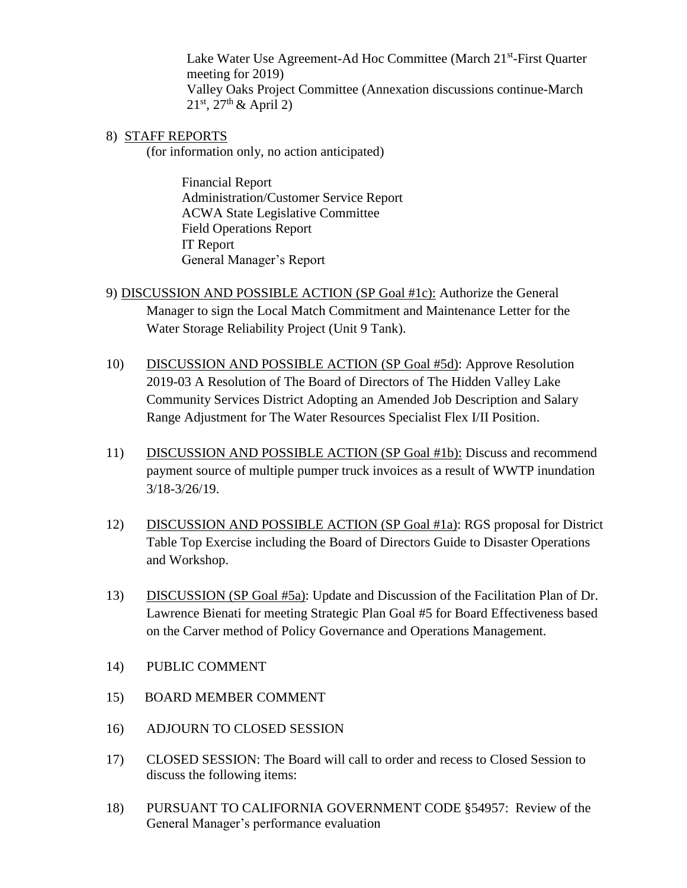Lake Water Use Agreement-Ad Hoc Committee (March 21<sup>st</sup>-First Quarter meeting for 2019) Valley Oaks Project Committee (Annexation discussions continue-March  $21^{st}$ ,  $27^{th}$  & April 2)

8) STAFF REPORTS

(for information only, no action anticipated)

Financial Report Administration/Customer Service Report ACWA State Legislative Committee Field Operations Report IT Report General Manager's Report

- 9) DISCUSSION AND POSSIBLE ACTION (SP Goal #1c): Authorize the General Manager to sign the Local Match Commitment and Maintenance Letter for the Water Storage Reliability Project (Unit 9 Tank).
- 10) DISCUSSION AND POSSIBLE ACTION (SP Goal #5d): Approve Resolution 2019-03 A Resolution of The Board of Directors of The Hidden Valley Lake Community Services District Adopting an Amended Job Description and Salary Range Adjustment for The Water Resources Specialist Flex I/II Position.
- 11) DISCUSSION AND POSSIBLE ACTION (SP Goal #1b): Discuss and recommend payment source of multiple pumper truck invoices as a result of WWTP inundation 3/18-3/26/19.
- 12) DISCUSSION AND POSSIBLE ACTION (SP Goal #1a): RGS proposal for District Table Top Exercise including the Board of Directors Guide to Disaster Operations and Workshop.
- 13) DISCUSSION (SP Goal #5a): Update and Discussion of the Facilitation Plan of Dr. Lawrence Bienati for meeting Strategic Plan Goal #5 for Board Effectiveness based on the Carver method of Policy Governance and Operations Management.
- 14) PUBLIC COMMENT
- 15) BOARD MEMBER COMMENT
- 16) ADJOURN TO CLOSED SESSION
- 17) CLOSED SESSION: The Board will call to order and recess to Closed Session to discuss the following items:
- 18) PURSUANT TO CALIFORNIA GOVERNMENT CODE §54957: Review of the General Manager's performance evaluation